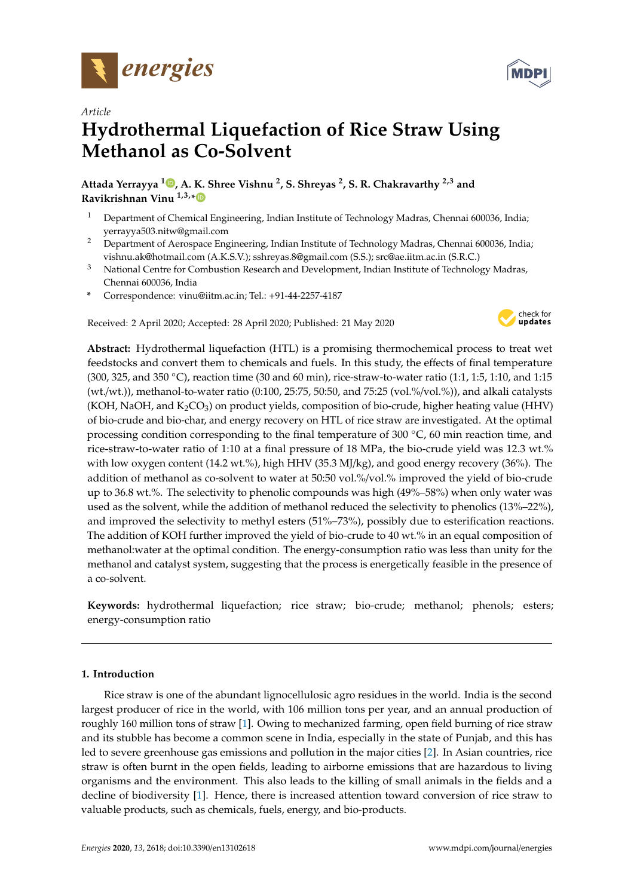



# *Article* **Hydrothermal Liquefaction of Rice Straw Using Methanol as Co-Solvent**

**Attada Yerrayya <sup>1</sup> , A. K. Shree Vishnu <sup>2</sup> , S. Shreyas <sup>2</sup> , S. R. Chakravarthy 2,3 and Ravikrishnan Vinu 1,3,\***

- <sup>1</sup> Department of Chemical Engineering, Indian Institute of Technology Madras, Chennai 600036, India; yerrayya503.nitw@gmail.com
- <sup>2</sup> Department of Aerospace Engineering, Indian Institute of Technology Madras, Chennai 600036, India; vishnu.ak@hotmail.com (A.K.S.V.); sshreyas.8@gmail.com (S.S.); src@ae.iitm.ac.in (S.R.C.)
- <sup>3</sup> National Centre for Combustion Research and Development, Indian Institute of Technology Madras, Chennai 600036, India
- **\*** Correspondence: vinu@iitm.ac.in; Tel.: +91-44-2257-4187

Received: 2 April 2020; Accepted: 28 April 2020; Published: 21 May 2020



**Abstract:** Hydrothermal liquefaction (HTL) is a promising thermochemical process to treat wet feedstocks and convert them to chemicals and fuels. In this study, the effects of final temperature (300, 325, and 350 ◦C), reaction time (30 and 60 min), rice-straw-to-water ratio (1:1, 1:5, 1:10, and 1:15 (wt./wt.)), methanol-to-water ratio (0:100, 25:75, 50:50, and 75:25 (vol.%/vol.%)), and alkali catalysts (KOH, NaOH, and  $K_2CO_3$ ) on product yields, composition of bio-crude, higher heating value (HHV) of bio-crude and bio-char, and energy recovery on HTL of rice straw are investigated. At the optimal processing condition corresponding to the final temperature of 300  $\degree$ C, 60 min reaction time, and rice-straw-to-water ratio of 1:10 at a final pressure of 18 MPa, the bio-crude yield was 12.3 wt.% with low oxygen content (14.2 wt.%), high HHV (35.3 MJ/kg), and good energy recovery (36%). The addition of methanol as co-solvent to water at 50:50 vol.%/vol.% improved the yield of bio-crude up to 36.8 wt.%. The selectivity to phenolic compounds was high (49%–58%) when only water was used as the solvent, while the addition of methanol reduced the selectivity to phenolics (13%–22%), and improved the selectivity to methyl esters (51%–73%), possibly due to esterification reactions. The addition of KOH further improved the yield of bio-crude to 40 wt.% in an equal composition of methanol:water at the optimal condition. The energy-consumption ratio was less than unity for the methanol and catalyst system, suggesting that the process is energetically feasible in the presence of a co-solvent.

**Keywords:** hydrothermal liquefaction; rice straw; bio-crude; methanol; phenols; esters; energy-consumption ratio

## **1. Introduction**

Rice straw is one of the abundant lignocellulosic agro residues in the world. India is the second largest producer of rice in the world, with 106 million tons per year, and an annual production of roughly 160 million tons of straw [1]. Owing to mechanized farming, open field burning of rice straw and its stubble has become a common scene in India, especially in the state of Punjab, and this has led to severe greenhouse gas emissions and pollution in the major cities [2]. In Asian countries, rice straw is often burnt in the open fields, leading to airborne emissions that are hazardous to living organisms and the environment. This also leads to the killing of small animals in the fields and a decline of biodiversity [1]. Hence, there is increased attention toward conversion of rice straw to valuable products, such as chemicals, fuels, energy, and bio-products.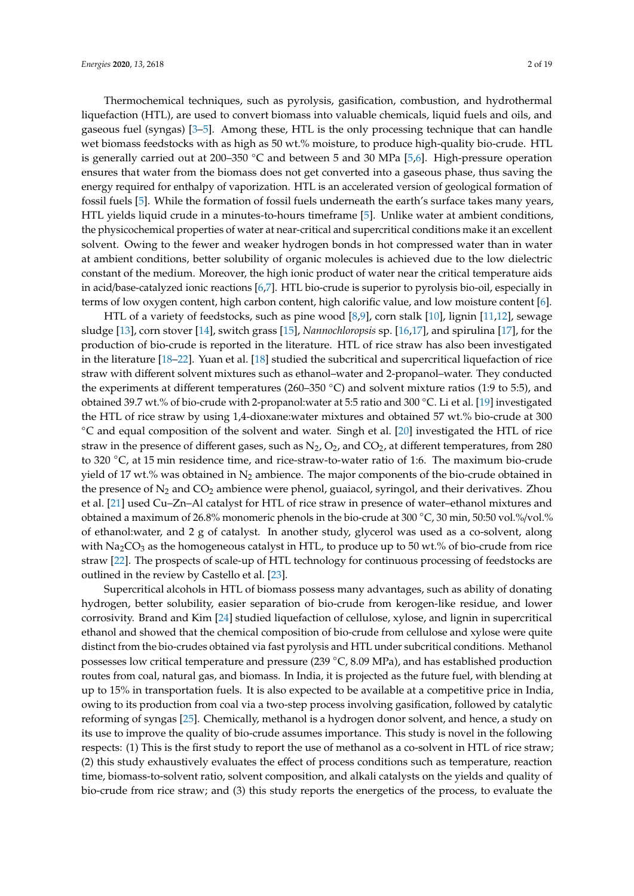Thermochemical techniques, such as pyrolysis, gasification, combustion, and hydrothermal liquefaction (HTL), are used to convert biomass into valuable chemicals, liquid fuels and oils, and gaseous fuel (syngas) [3–5]. Among these, HTL is the only processing technique that can handle wet biomass feedstocks with as high as 50 wt.% moisture, to produce high-quality bio-crude. HTL is generally carried out at 200–350 °C and between 5 and 30 MPa [5,6]. High-pressure operation ensures that water from the biomass does not get converted into a gaseous phase, thus saving the energy required for enthalpy of vaporization. HTL is an accelerated version of geological formation of fossil fuels [5]. While the formation of fossil fuels underneath the earth's surface takes many years, HTL yields liquid crude in a minutes-to-hours timeframe [5]. Unlike water at ambient conditions, the physicochemical properties of water at near-critical and supercritical conditions make it an excellent solvent. Owing to the fewer and weaker hydrogen bonds in hot compressed water than in water at ambient conditions, better solubility of organic molecules is achieved due to the low dielectric constant of the medium. Moreover, the high ionic product of water near the critical temperature aids in acid/base-catalyzed ionic reactions [6,7]. HTL bio-crude is superior to pyrolysis bio-oil, especially in terms of low oxygen content, high carbon content, high calorific value, and low moisture content [6].

HTL of a variety of feedstocks, such as pine wood [8,9], corn stalk [10], lignin [11,12], sewage sludge [13], corn stover [14], switch grass [15], *Nannochloropsis* sp. [16,17], and spirulina [17], for the production of bio-crude is reported in the literature. HTL of rice straw has also been investigated in the literature [18–22]. Yuan et al. [18] studied the subcritical and supercritical liquefaction of rice straw with different solvent mixtures such as ethanol–water and 2-propanol–water. They conducted the experiments at different temperatures (260–350 ◦C) and solvent mixture ratios (1:9 to 5:5), and obtained 39.7 wt.% of bio-crude with 2-propanol:water at 5:5 ratio and 300 ◦C. Li et al. [19] investigated the HTL of rice straw by using 1,4-dioxane:water mixtures and obtained 57 wt.% bio-crude at 300 ◦C and equal composition of the solvent and water. Singh et al. [20] investigated the HTL of rice straw in the presence of different gases, such as  $N_2$ ,  $O_2$ , and  $CO_2$ , at different temperatures, from 280 to 320 ◦C, at 15 min residence time, and rice-straw-to-water ratio of 1:6. The maximum bio-crude yield of 17 wt.% was obtained in  $N_2$  ambience. The major components of the bio-crude obtained in the presence of  $N_2$  and  $CO_2$  ambience were phenol, guaiacol, syringol, and their derivatives. Zhou et al. [21] used Cu–Zn–Al catalyst for HTL of rice straw in presence of water–ethanol mixtures and obtained a maximum of 26.8% monomeric phenols in the bio-crude at 300 ◦C, 30 min, 50:50 vol.%/vol.% of ethanol:water, and 2 g of catalyst. In another study, glycerol was used as a co-solvent, along with  $Na<sub>2</sub>CO<sub>3</sub>$  as the homogeneous catalyst in HTL, to produce up to 50 wt.% of bio-crude from rice straw [22]. The prospects of scale-up of HTL technology for continuous processing of feedstocks are outlined in the review by Castello et al. [23].

Supercritical alcohols in HTL of biomass possess many advantages, such as ability of donating hydrogen, better solubility, easier separation of bio-crude from kerogen-like residue, and lower corrosivity. Brand and Kim [24] studied liquefaction of cellulose, xylose, and lignin in supercritical ethanol and showed that the chemical composition of bio-crude from cellulose and xylose were quite distinct from the bio-crudes obtained via fast pyrolysis and HTL under subcritical conditions. Methanol possesses low critical temperature and pressure (239 ◦C, 8.09 MPa), and has established production routes from coal, natural gas, and biomass. In India, it is projected as the future fuel, with blending at up to 15% in transportation fuels. It is also expected to be available at a competitive price in India, owing to its production from coal via a two-step process involving gasification, followed by catalytic reforming of syngas [25]. Chemically, methanol is a hydrogen donor solvent, and hence, a study on its use to improve the quality of bio-crude assumes importance. This study is novel in the following respects: (1) This is the first study to report the use of methanol as a co-solvent in HTL of rice straw; (2) this study exhaustively evaluates the effect of process conditions such as temperature, reaction time, biomass-to-solvent ratio, solvent composition, and alkali catalysts on the yields and quality of bio-crude from rice straw; and (3) this study reports the energetics of the process, to evaluate the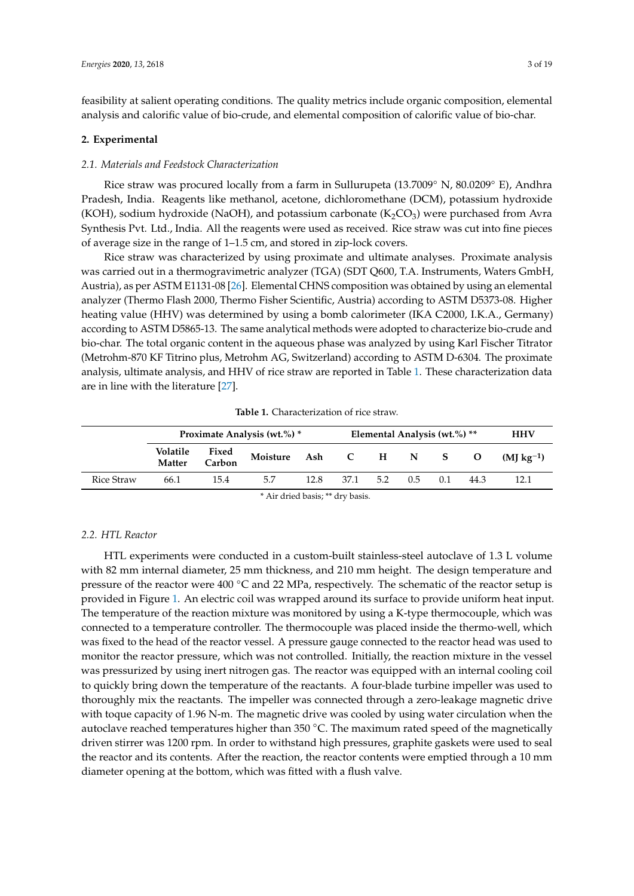feasibility at salient operating conditions. The quality metrics include organic composition, elemental analysis and calorific value of bio-crude, and elemental composition of calorific value of bio-char.

#### **2. Experimental**

#### *2.1. Materials and Feedstock Characterization*

Rice straw was procured locally from a farm in Sullurupeta (13.7009◦ N, 80.0209◦ E), Andhra Pradesh, India. Reagents like methanol, acetone, dichloromethane (DCM), potassium hydroxide (KOH), sodium hydroxide (NaOH), and potassium carbonate ( $K_2CO_3$ ) were purchased from Avra Synthesis Pvt. Ltd., India. All the reagents were used as received. Rice straw was cut into fine pieces of average size in the range of 1–1.5 cm, and stored in zip-lock covers.

Rice straw was characterized by using proximate and ultimate analyses. Proximate analysis was carried out in a thermogravimetric analyzer (TGA) (SDT Q600, T.A. Instruments, Waters GmbH, Austria), as per ASTM E1131-08 [26]. Elemental CHNS composition was obtained by using an elemental analyzer (Thermo Flash 2000, Thermo Fisher Scientific, Austria) according to ASTM D5373-08. Higher heating value (HHV) was determined by using a bomb calorimeter (IKA C2000, I.K.A., Germany) according to ASTM D5865-13. The same analytical methods were adopted to characterize bio-crude and bio-char. The total organic content in the aqueous phase was analyzed by using Karl Fischer Titrator (Metrohm-870 KF Titrino plus, Metrohm AG, Switzerland) according to ASTM D-6304. The proximate analysis, ultimate analysis, and HHV of rice straw are reported in Table 1. These characterization data are in line with the literature [27].

|                   | Proximate Analysis (wt.%) * |                 |                      |      | Elemental Analysis (wt.%) ** |     |     |     |          | <b>HHV</b>     |
|-------------------|-----------------------------|-----------------|----------------------|------|------------------------------|-----|-----|-----|----------|----------------|
|                   | Volatile<br>Matter          | Fixed<br>Carbon | Moisture Ash C H N S |      |                              |     |     |     | <b>O</b> | $(MI kg^{-1})$ |
| <b>Rice Straw</b> | 66.1                        | 15.4            | 5.7                  | 12.8 | 37.1                         | 5.2 | 0.5 | 0.1 | 44.3     | 12.1           |
| .                 |                             |                 |                      |      |                              |     |     |     |          |                |

**Table 1.** Characterization of rice straw.

\* Air dried basis; \*\* dry basis.

## *2.2. HTL Reactor*

HTL experiments were conducted in a custom-built stainless-steel autoclave of 1.3 L volume with 82 mm internal diameter, 25 mm thickness, and 210 mm height. The design temperature and pressure of the reactor were 400  $\degree$ C and 22 MPa, respectively. The schematic of the reactor setup is provided in Figure 1. An electric coil was wrapped around its surface to provide uniform heat input. The temperature of the reaction mixture was monitored by using a K-type thermocouple, which was connected to a temperature controller. The thermocouple was placed inside the thermo-well, which was fixed to the head of the reactor vessel. A pressure gauge connected to the reactor head was used to monitor the reactor pressure, which was not controlled. Initially, the reaction mixture in the vessel was pressurized by using inert nitrogen gas. The reactor was equipped with an internal cooling coil to quickly bring down the temperature of the reactants. A four-blade turbine impeller was used to thoroughly mix the reactants. The impeller was connected through a zero-leakage magnetic drive with toque capacity of 1.96 N-m. The magnetic drive was cooled by using water circulation when the autoclave reached temperatures higher than 350 ◦C. The maximum rated speed of the magnetically driven stirrer was 1200 rpm. In order to withstand high pressures, graphite gaskets were used to seal the reactor and its contents. After the reaction, the reactor contents were emptied through a 10 mm diameter opening at the bottom, which was fitted with a flush valve.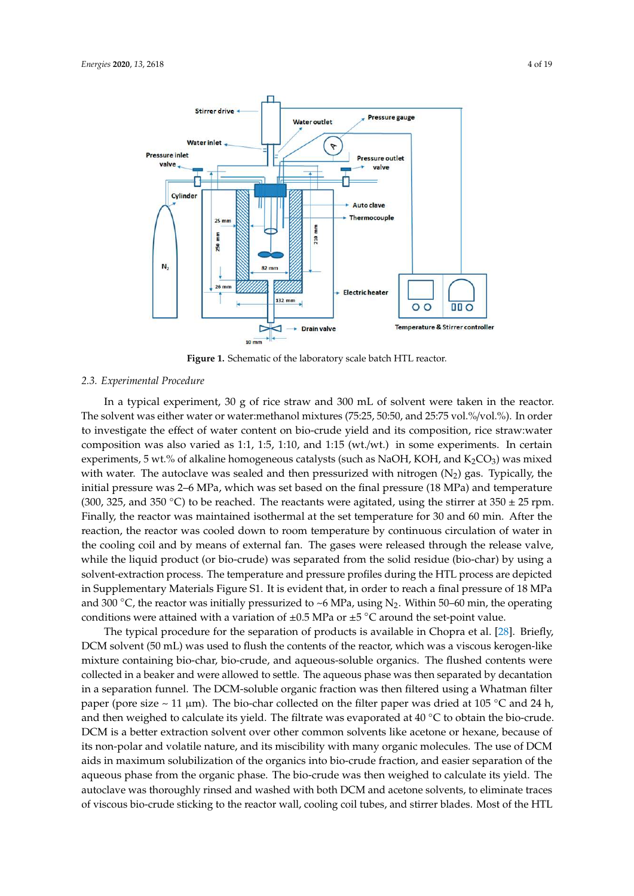

**Figure 1.** Schematic of the laboratory scale batch HTL reactor.

#### *2.3. Experimental Procedure*

In a typical experiment, 30 g of rice straw and 300 mL of solvent were taken in the reactor. The solvent was either water or water:methanol mixtures (75:25, 50:50, and 25:75 vol.%/vol.%). In order to investigate the effect of water content on bio-crude yield and its composition, rice straw:water composition was also varied as 1:1, 1:5, 1:10, and 1:15 (wt./wt.) in some experiments. In certain experiments, 5 wt.% of alkaline homogeneous catalysts (such as NaOH, KOH, and  $K_2CO_3$ ) was mixed with water. The autoclave was sealed and then pressurized with nitrogen  $(N_2)$  gas. Typically, the initial pressure was 2–6 MPa, which was set based on the final pressure (18 MPa) and temperature (300, 325, and 350 °C) to be reached. The reactants were agitated, using the stirrer at  $350 \pm 25$  rpm. Finally, the reactor was maintained isothermal at the set temperature for 30 and 60 min. After the reaction, the reactor was cooled down to room temperature by continuous circulation of water in the cooling coil and by means of external fan. The gases were released through the release valve, while the liquid product (or bio-crude) was separated from the solid residue (bio-char) by using a solvent-extraction process. The temperature and pressure profiles during the HTL process are depicted in Supplementary Materials Figure S1. It is evident that, in order to reach a final pressure of 18 MPa and 300 °C, the reactor was initially pressurized to ~6 MPa, using N<sub>2</sub>. Within 50–60 min, the operating conditions were attained with a variation of  $\pm 0.5$  MPa or  $\pm 5$  °C around the set-point value.

The typical procedure for the separation of products is available in Chopra et al. [28]. Briefly, DCM solvent (50 mL) was used to flush the contents of the reactor, which was a viscous kerogen-like mixture containing bio-char, bio-crude, and aqueous-soluble organics. The flushed contents were collected in a beaker and were allowed to settle. The aqueous phase was then separated by decantation in a separation funnel. The DCM-soluble organic fraction was then filtered using a Whatman filter paper (pore size  $\sim$  11 µm). The bio-char collected on the filter paper was dried at 105 °C and 24 h, and then weighed to calculate its yield. The filtrate was evaporated at 40 ◦C to obtain the bio-crude. DCM is a better extraction solvent over other common solvents like acetone or hexane, because of its non-polar and volatile nature, and its miscibility with many organic molecules. The use of DCM aids in maximum solubilization of the organics into bio-crude fraction, and easier separation of the aqueous phase from the organic phase. The bio-crude was then weighed to calculate its yield. The autoclave was thoroughly rinsed and washed with both DCM and acetone solvents, to eliminate traces of viscous bio-crude sticking to the reactor wall, cooling coil tubes, and stirrer blades. Most of the HTL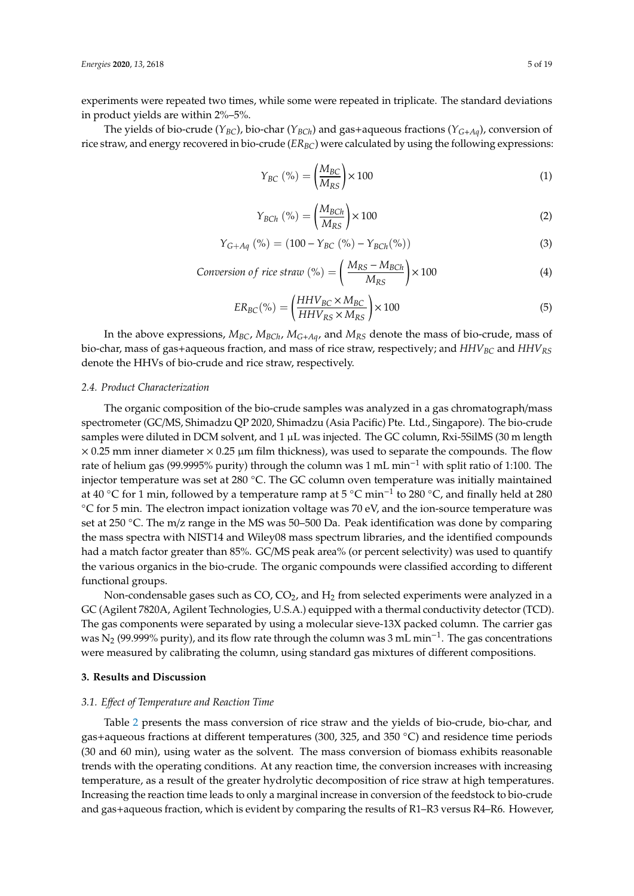experiments were repeated two times, while some were repeated in triplicate. The standard deviations in product yields are within 2%–5%.

The yields of bio-crude ( $Y_{BC}$ ), bio-char ( $Y_{BCh}$ ) and gas+aqueous fractions ( $Y_{G+Ag}$ ), conversion of rice straw, and energy recovered in bio-crude (*ER<sub>BC</sub>*) were calculated by using the following expressions:

$$
Y_{BC} (\% ) = \left(\frac{M_{BC}}{M_{RS}}\right) \times 100
$$
 (1)

$$
Y_{BCh} (\% ) = \left(\frac{M_{BCh}}{M_{RS}}\right) \times 100
$$
 (2)

$$
Y_{G+Ag} (\% ) = (100 - Y_{BC} (\% ) - Y_{BCh} (\% )) \tag{3}
$$

$$
Consersion of rice straw (%) = \left(\frac{M_{RS} - M_{BCh}}{M_{RS}}\right) \times 100 \tag{4}
$$

$$
ER_{BC}(\%) = \left(\frac{HHV_{BC} \times M_{BC}}{HHV_{RS} \times M_{RS}}\right) \times 100\tag{5}
$$

In the above expressions,  $M_{BC}$ ,  $M_{BCh}$ ,  $M_{G+Ag}$ , and  $M_{RS}$  denote the mass of bio-crude, mass of bio-char, mass of gas+aqueous fraction, and mass of rice straw, respectively; and *HHVBC* and *HHVRS* denote the HHVs of bio-crude and rice straw, respectively.

#### *2.4. Product Characterization*

The organic composition of the bio-crude samples was analyzed in a gas chromatograph/mass spectrometer (GC/MS, Shimadzu QP 2020, Shimadzu (Asia Pacific) Pte. Ltd., Singapore). The bio-crude samples were diluted in DCM solvent, and 1 µL was injected. The GC column, Rxi-5SilMS (30 m length  $\times$  0.25 mm inner diameter  $\times$  0.25  $\mu$ m film thickness), was used to separate the compounds. The flow rate of helium gas (99.9995% purity) through the column was 1 mL min−<sup>1</sup> with split ratio of 1:100. The injector temperature was set at 280 ◦C. The GC column oven temperature was initially maintained at 40 °C for 1 min, followed by a temperature ramp at 5 °C min<sup>-1</sup> to 280 °C, and finally held at 280 ◦C for 5 min. The electron impact ionization voltage was 70 eV, and the ion-source temperature was set at 250 °C. The m/z range in the MS was 50–500 Da. Peak identification was done by comparing the mass spectra with NIST14 and Wiley08 mass spectrum libraries, and the identified compounds had a match factor greater than 85%. GC/MS peak area% (or percent selectivity) was used to quantify the various organics in the bio-crude. The organic compounds were classified according to different functional groups.

Non-condensable gases such as  $CO$ ,  $CO<sub>2</sub>$ , and  $H<sub>2</sub>$  from selected experiments were analyzed in a GC (Agilent 7820A, Agilent Technologies, U.S.A.) equipped with a thermal conductivity detector (TCD). The gas components were separated by using a molecular sieve-13X packed column. The carrier gas was  $N_2$  (99.999% purity), and its flow rate through the column was 3 mL min<sup>-1</sup>. The gas concentrations were measured by calibrating the column, using standard gas mixtures of different compositions.

#### **3. Results and Discussion**

#### *3.1. E*ff*ect of Temperature and Reaction Time*

Table 2 presents the mass conversion of rice straw and the yields of bio-crude, bio-char, and gas+aqueous fractions at different temperatures (300, 325, and 350 ◦C) and residence time periods (30 and 60 min), using water as the solvent. The mass conversion of biomass exhibits reasonable trends with the operating conditions. At any reaction time, the conversion increases with increasing temperature, as a result of the greater hydrolytic decomposition of rice straw at high temperatures. Increasing the reaction time leads to only a marginal increase in conversion of the feedstock to bio-crude and gas+aqueous fraction, which is evident by comparing the results of R1–R3 versus R4–R6. However,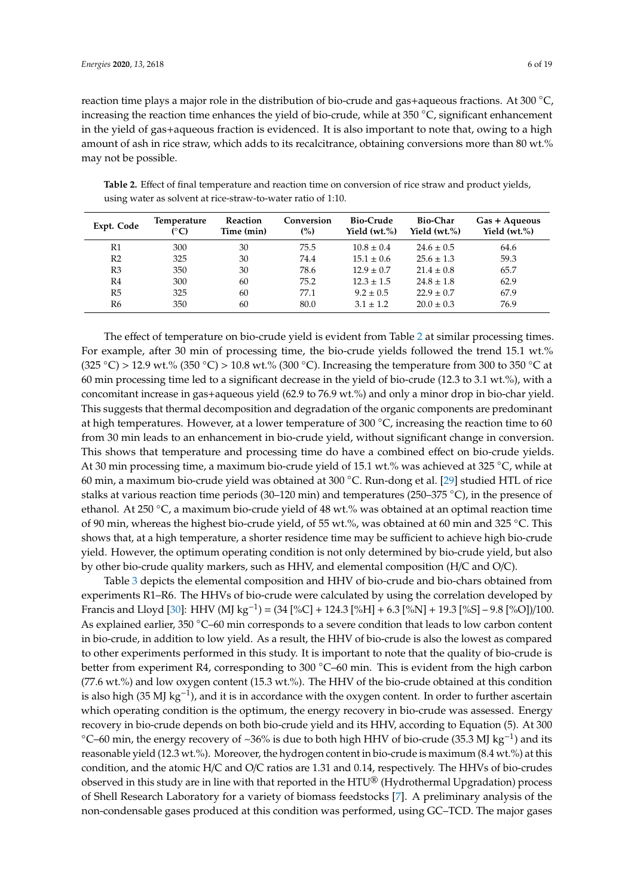reaction time plays a major role in the distribution of bio-crude and gas+aqueous fractions. At 300 ◦C, increasing the reaction time enhances the yield of bio-crude, while at 350 ◦C, significant enhancement in the yield of gas+aqueous fraction is evidenced. It is also important to note that, owing to a high amount of ash in rice straw, which adds to its recalcitrance, obtaining conversions more than 80 wt.% may not be possible.

| Expt. Code     | Temperature<br>(°C) | Reaction<br>Time (min) | Conversion<br>(%) | <b>Bio-Crude</b><br>Yield $(wt,\%)$ | <b>Bio-Char</b><br>Yield $(wt,\%)$ | Gas + Aqueous<br>Yield $(wt,\%)$ |
|----------------|---------------------|------------------------|-------------------|-------------------------------------|------------------------------------|----------------------------------|
| R1             | 300                 | 30                     | 75.5              | $10.8 \pm 0.4$                      | $24.6 \pm 0.5$                     | 64.6                             |
| R <sub>2</sub> | 325                 | 30                     | 74.4              | $15.1 \pm 0.6$                      | $25.6 \pm 1.3$                     | 59.3                             |
| R3             | 350                 | 30                     | 78.6              | $12.9 \pm 0.7$                      | $21.4 \pm 0.8$                     | 65.7                             |
| R4             | 300                 | 60                     | 75.2              | $12.3 \pm 1.5$                      | $24.8 \pm 1.8$                     | 62.9                             |
| R5             | 325                 | 60                     | 77.1              | $9.2 \pm 0.5$                       | $22.9 \pm 0.7$                     | 67.9                             |
| R6             | 350                 | 60                     | 80.0              | $3.1 \pm 1.2$                       | $20.0 \pm 0.3$                     | 76.9                             |

**Table 2.** Effect of final temperature and reaction time on conversion of rice straw and product yields, using water as solvent at rice-straw-to-water ratio of 1:10.

The effect of temperature on bio-crude yield is evident from Table 2 at similar processing times. For example, after 30 min of processing time, the bio-crude yields followed the trend 15.1 wt.% (325 °C) > 12.9 wt.% (350 °C) > 10.8 wt.% (300 °C). Increasing the temperature from 300 to 350 °C at 60 min processing time led to a significant decrease in the yield of bio-crude (12.3 to 3.1 wt.%), with a concomitant increase in gas+aqueous yield (62.9 to 76.9 wt.%) and only a minor drop in bio-char yield. This suggests that thermal decomposition and degradation of the organic components are predominant at high temperatures. However, at a lower temperature of 300 °C, increasing the reaction time to 60 from 30 min leads to an enhancement in bio-crude yield, without significant change in conversion. This shows that temperature and processing time do have a combined effect on bio-crude yields. At 30 min processing time, a maximum bio-crude yield of 15.1 wt.% was achieved at 325 ◦C, while at 60 min, a maximum bio-crude yield was obtained at 300 ◦C. Run-dong et al. [29] studied HTL of rice stalks at various reaction time periods (30–120 min) and temperatures (250–375 ◦C), in the presence of ethanol. At 250  $\degree$ C, a maximum bio-crude yield of 48 wt.% was obtained at an optimal reaction time of 90 min, whereas the highest bio-crude yield, of 55 wt.%, was obtained at 60 min and 325 ◦C. This shows that, at a high temperature, a shorter residence time may be sufficient to achieve high bio-crude yield. However, the optimum operating condition is not only determined by bio-crude yield, but also by other bio-crude quality markers, such as HHV, and elemental composition (H/C and O/C).

Table 3 depicts the elemental composition and HHV of bio-crude and bio-chars obtained from experiments R1–R6. The HHVs of bio-crude were calculated by using the correlation developed by Francis and Lloyd [30]: HHV (MJ kg−<sup>1</sup> ) = (34 [%C] + 124.3 [%H] + 6.3 [%N] + 19.3 [%S] – 9.8 [%O])/100. As explained earlier, 350 °C–60 min corresponds to a severe condition that leads to low carbon content in bio-crude, in addition to low yield. As a result, the HHV of bio-crude is also the lowest as compared to other experiments performed in this study. It is important to note that the quality of bio-crude is better from experiment R4, corresponding to 300 °C–60 min. This is evident from the high carbon (77.6 wt.%) and low oxygen content (15.3 wt.%). The HHV of the bio-crude obtained at this condition is also high (35 MJ kg<sup>-1</sup>), and it is in accordance with the oxygen content. In order to further ascertain which operating condition is the optimum, the energy recovery in bio-crude was assessed. Energy recovery in bio-crude depends on both bio-crude yield and its HHV, according to Equation (5). At 300 °C–60 min, the energy recovery of ~36% is due to both high HHV of bio-crude (35.3 MJ kg<sup>-1</sup>) and its reasonable yield (12.3 wt.%). Moreover, the hydrogen content in bio-crude is maximum (8.4 wt.%) at this condition, and the atomic H/C and O/C ratios are 1.31 and 0.14, respectively. The HHVs of bio-crudes observed in this study are in line with that reported in the HTU® (Hydrothermal Upgradation) process of Shell Research Laboratory for a variety of biomass feedstocks [7]. A preliminary analysis of the non-condensable gases produced at this condition was performed, using GC–TCD. The major gases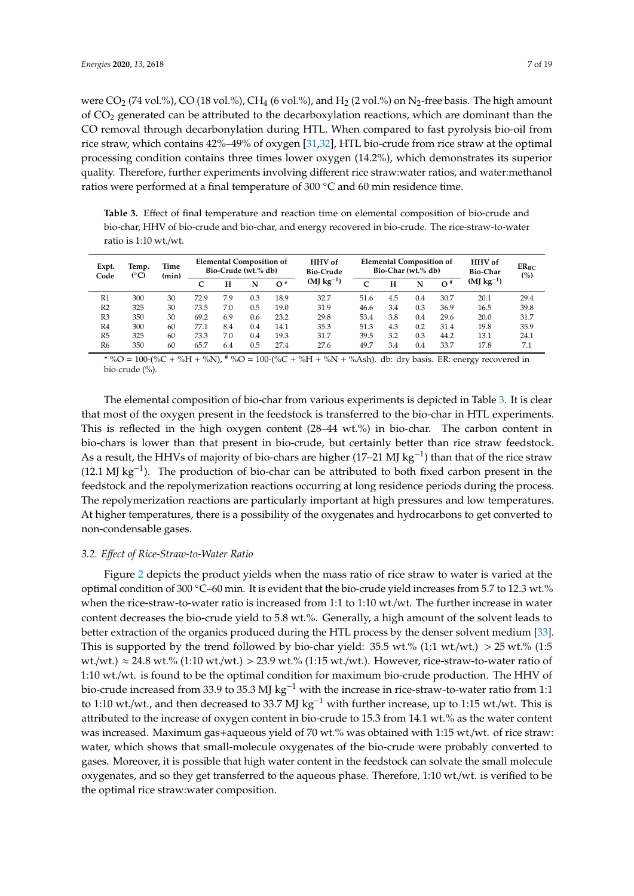were CO<sub>2</sub> (74 vol.%), CO (18 vol.%), CH<sub>4</sub> (6 vol.%), and H<sub>2</sub> (2 vol.%) on N<sub>2</sub>-free basis. The high amount of CO<sup>2</sup> generated can be attributed to the decarboxylation reactions, which are dominant than the CO removal through decarbonylation during HTL. When compared to fast pyrolysis bio-oil from rice straw, which contains 42%–49% of oxygen [31,32], HTL bio-crude from rice straw at the optimal processing condition contains three times lower oxygen (14.2%), which demonstrates its superior quality. Therefore, further experiments involving different rice straw:water ratios, and water:methanol ratios were performed at a final temperature of 300 ◦C and 60 min residence time.

**Table 3.** Effect of final temperature and reaction time on elemental composition of bio-crude and bio-char, HHV of bio-crude and bio-char, and energy recovered in bio-crude. The rice-straw-to-water ratio is 1:10 wt./wt.

| Expt.<br>Code  | Temp. |    | (°C) |     | Time<br>(min) |            | <b>Elemental Composition of</b><br>Bio-Crude (wt.% db) |      |     | <b>HHV</b> of<br><b>Bio-Crude</b> |       |                | <b>Elemental Composition of</b><br>Bio-Char (wt.% db) |  | <b>HHV</b> of<br><b>Bio-Char</b> | $ER_{BC}$<br>(%) |
|----------------|-------|----|------|-----|---------------|------------|--------------------------------------------------------|------|-----|-----------------------------------|-------|----------------|-------------------------------------------------------|--|----------------------------------|------------------|
|                |       |    | C    | н   | N             | $^{\circ}$ | $(MJ kg-1)$                                            | C    | н   | N                                 | $O^*$ | $(MJ kg^{-1})$ |                                                       |  |                                  |                  |
| R1             | 300   | 30 | 72.9 | 7.9 | 0.3           | 18.9       | 32.7                                                   | 51.6 | 4.5 | 0.4                               | 30.7  | 20.1           | 29.4                                                  |  |                                  |                  |
| R <sub>2</sub> | 325   | 30 | 73.5 | 7.0 | 0.5           | 19.0       | 31.9                                                   | 46.6 | 3.4 | 0.3                               | 36.9  | 16.5           | 39.8                                                  |  |                                  |                  |
| R <sub>3</sub> | 350   | 30 | 69.2 | 6.9 | 0.6           | 23.2       | 29.8                                                   | 53.4 | 3.8 | 0.4                               | 29.6  | 20.0           | 31.7                                                  |  |                                  |                  |
| R <sub>4</sub> | 300   | 60 | 77.1 | 8.4 | 0.4           | 14.1       | 35.3                                                   | 51.3 | 4.3 | 0.2                               | 31.4  | 19.8           | 35.9                                                  |  |                                  |                  |
| R5             | 325   | 60 | 73.3 | 7.0 | 0.4           | 19.3       | 31.7                                                   | 39.5 | 3.2 | 0.3                               | 44.2  | 13.1           | 24.1                                                  |  |                                  |                  |
| R <sub>6</sub> | 350   | 60 | 65.7 | 6.4 | 0.5           | 27.4       | 27.6                                                   | 49.7 | 3.4 | 0.4                               | 33.7  | 17.8           | 7.1                                                   |  |                                  |                  |

\* %O = 100-(%C + %H + %N),  $\frac{4}{7}$ %O = 100-(%C + %H + %N + %Ash). db: dry basis. ER: energy recovered in bio-crude (%).

The elemental composition of bio-char from various experiments is depicted in Table 3. It is clear that most of the oxygen present in the feedstock is transferred to the bio-char in HTL experiments. This is reflected in the high oxygen content (28–44 wt.%) in bio-char. The carbon content in bio-chars is lower than that present in bio-crude, but certainly better than rice straw feedstock. As a result, the HHVs of majority of bio-chars are higher (17–21 MJ kg<sup>-1</sup>) than that of the rice straw (12.1 MJ kg−<sup>1</sup> ). The production of bio-char can be attributed to both fixed carbon present in the feedstock and the repolymerization reactions occurring at long residence periods during the process. The repolymerization reactions are particularly important at high pressures and low temperatures. At higher temperatures, there is a possibility of the oxygenates and hydrocarbons to get converted to non-condensable gases.

#### *3.2. E*ff*ect of Rice-Straw-to-Water Ratio*

Figure 2 depicts the product yields when the mass ratio of rice straw to water is varied at the optimal condition of 300 ◦C–60 min. It is evident that the bio-crude yield increases from 5.7 to 12.3 wt.% when the rice-straw-to-water ratio is increased from 1:1 to 1:10 wt./wt. The further increase in water content decreases the bio-crude yield to 5.8 wt.%. Generally, a high amount of the solvent leads to better extraction of the organics produced during the HTL process by the denser solvent medium [33]. This is supported by the trend followed by bio-char yield:  $35.5$  wt.%  $(1:1$  wt./wt.)  $> 25$  wt.%  $(1:5$ wt./wt.)  $\approx$  24.8 wt.% (1:10 wt./wt.) > 23.9 wt.% (1:15 wt./wt.). However, rice-straw-to-water ratio of 1:10 wt./wt. is found to be the optimal condition for maximum bio-crude production. The HHV of bio-crude increased from 33.9 to 35.3 MJ kg<sup>-1</sup> with the increase in rice-straw-to-water ratio from 1:1 to 1:10 wt./wt., and then decreased to 33.7 MJ kg−<sup>1</sup> with further increase, up to 1:15 wt./wt. This is attributed to the increase of oxygen content in bio-crude to 15.3 from 14.1 wt.% as the water content was increased. Maximum gas+aqueous yield of 70 wt.% was obtained with 1:15 wt./wt. of rice straw: water, which shows that small-molecule oxygenates of the bio-crude were probably converted to gases. Moreover, it is possible that high water content in the feedstock can solvate the small molecule oxygenates, and so they get transferred to the aqueous phase. Therefore, 1:10 wt./wt. is verified to be the optimal rice straw:water composition.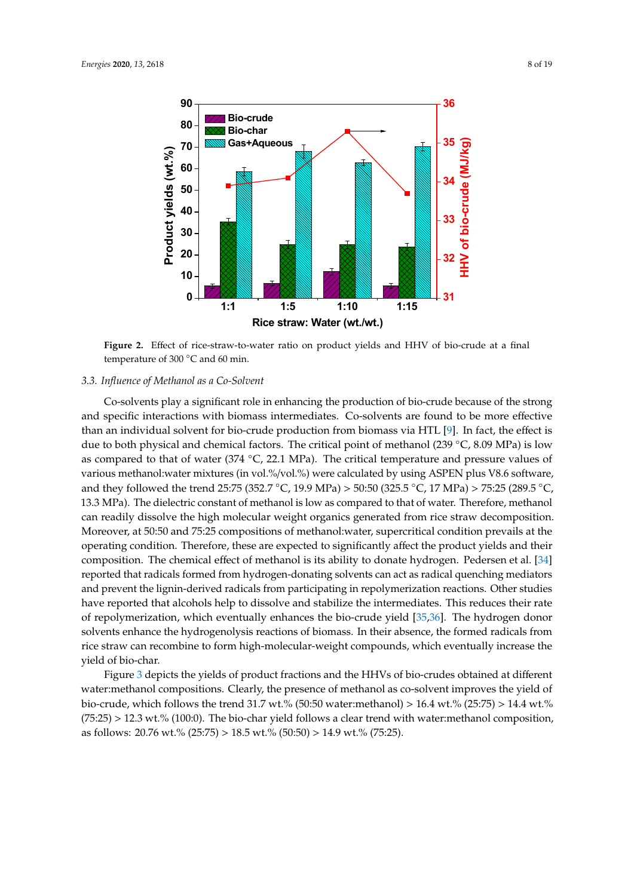

**Figure 2.** Effect of rice-straw-to-water ratio on product yields and HHV of bio-crude at a final temperature of 300 ℃ and 60 min.

#### *3.3. Influence of Methanol as a Co-Solvent*

Co-solvents play a significant role in enhancing the production of bio-crude because of the strong and specific interactions with biomass intermediates. Co-solvents are found to be more effective than an individual solvent for bio-crude production from biomass via HTL [9]. In fact, the effect is due to both physical and chemical factors. The critical point of methanol (239 ◦C, 8.09 MPa) is low as compared to that of water (374  $°C$ , 22.1 MPa). The critical temperature and pressure values of various methanol:water mixtures (in vol.%/vol.%) were calculated by using ASPEN plus V8.6 software, and they followed the trend 25:75 (352.7 ◦C, 19.9 MPa) > 50:50 (325.5 ◦C, 17 MPa) > 75:25 (289.5 ◦C, 13.3 MPa). The dielectric constant of methanol is low as compared to that of water. Therefore, methanol can readily dissolve the high molecular weight organics generated from rice straw decomposition. Moreover, at 50:50 and 75:25 compositions of methanol:water, supercritical condition prevails at the operating condition. Therefore, these are expected to significantly affect the product yields and their composition. The chemical effect of methanol is its ability to donate hydrogen. Pedersen et al. [34] reported that radicals formed from hydrogen-donating solvents can act as radical quenching mediators and prevent the lignin-derived radicals from participating in repolymerization reactions. Other studies have reported that alcohols help to dissolve and stabilize the intermediates. This reduces their rate of repolymerization, which eventually enhances the bio-crude yield [35,36]. The hydrogen donor solvents enhance the hydrogenolysis reactions of biomass. In their absence, the formed radicals from rice straw can recombine to form high-molecular-weight compounds, which eventually increase the yield of bio-char.

Figure 3 depicts the yields of product fractions and the HHVs of bio-crudes obtained at different water:methanol compositions. Clearly, the presence of methanol as co-solvent improves the yield of bio-crude, which follows the trend 31.7 wt.% (50:50 water:methanol) > 16.4 wt.% (25:75) > 14.4 wt.%  $(75:25) > 12.3$  wt.%  $(100:0)$ . The bio-char yield follows a clear trend with water:methanol composition, as follows: 20.76 wt.% (25:75) > 18.5 wt.% (50:50) > 14.9 wt.% (75:25).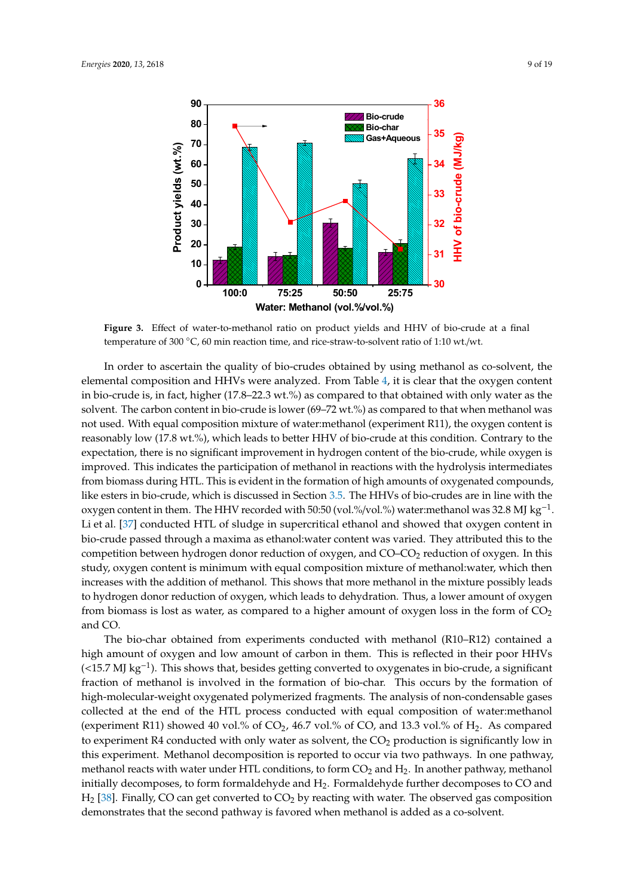

**Figure 3.** Effect of water-to-methanol ratio on product yields and HHV of bio-crude at a final temperature of 300 ℃, 60 min reaction time, and rice-straw-to-solvent ratio of 1:10 wt./wt.

oxygen content in them. The HHV recorded with 50:50 (vol.%/vol.%) water:methanol was 32.8 MJ kg<sup>-1</sup>. In order to ascertain the quality of bio-crudes obtained by using methanol as co-solvent, the elemental composition and HHVs were analyzed. From Table 4, it is clear that the oxygen content in bio-crude is, in fact, higher (17.8–22.3 wt.%) as compared to that obtained with only water as the solvent. The carbon content in bio-crude is lower (69–72 wt.%) as compared to that when methanol was not used. With equal composition mixture of water:methanol (experiment R11), the oxygen content is reasonably low (17.8 wt.%), which leads to better HHV of bio-crude at this condition. Contrary to the expectation, there is no significant improvement in hydrogen content of the bio-crude, while oxygen is improved. This indicates the participation of methanol in reactions with the hydrolysis intermediates from biomass during HTL. This is evident in the formation of high amounts of oxygenated compounds, like esters in bio-crude, which is discussed in Section 3.5. The HHVs of bio-crudes are in line with the Li et al. [37] conducted HTL of sludge in supercritical ethanol and showed that oxygen content in bio-crude passed through a maxima as ethanol:water content was varied. They attributed this to the competition between hydrogen donor reduction of oxygen, and  $CO-CO<sub>2</sub>$  reduction of oxygen. In this study, oxygen content is minimum with equal composition mixture of methanol:water, which then increases with the addition of methanol. This shows that more methanol in the mixture possibly leads to hydrogen donor reduction of oxygen, which leads to dehydration. Thus, a lower amount of oxygen from biomass is lost as water, as compared to a higher amount of oxygen loss in the form of  $CO<sub>2</sub>$ and CO.

− The bio-char obtained from experiments conducted with methanol (R10–R12) contained a high amount of oxygen and low amount of carbon in them. This is reflected in their poor HHVs (<15.7 MJ kg−<sup>1</sup> ). This shows that, besides getting converted to oxygenates in bio-crude, a significant fraction of methanol is involved in the formation of bio-char. This occurs by the formation of high-molecular-weight oxygenated polymerized fragments. The analysis of non-condensable gases collected at the end of the HTL process conducted with equal composition of water:methanol (experiment R11) showed 40 vol.% of  $CO<sub>2</sub>$ , 46.7 vol.% of CO, and 13.3 vol.% of  $H<sub>2</sub>$ . As compared to experiment R4 conducted with only water as solvent, the  $CO<sub>2</sub>$  production is significantly low in this experiment. Methanol decomposition is reported to occur via two pathways. In one pathway, methanol reacts with water under HTL conditions, to form  $CO<sub>2</sub>$  and  $H<sub>2</sub>$ . In another pathway, methanol initially decomposes, to form formaldehyde and  $H_2$ . Formaldehyde further decomposes to CO and  $H_2$  [38]. Finally, CO can get converted to CO<sub>2</sub> by reacting with water. The observed gas composition demonstrates that the second pathway is favored when methanol is added as a co-solvent.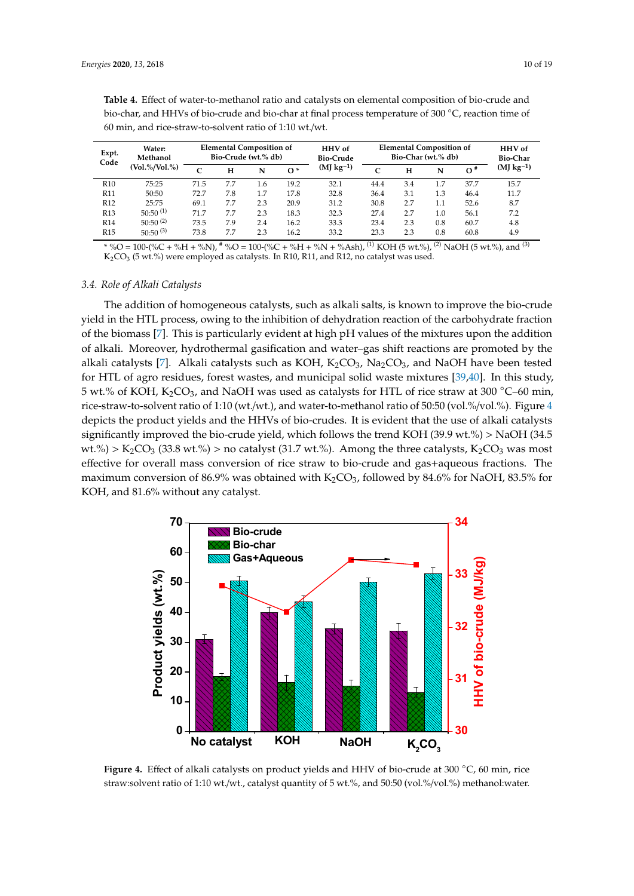| Expt.           | Water:<br>Methanol      | <b>Elemental Composition of</b><br>Bio-Crude (wt.% db) |     |     | <b>HHV</b> of<br><b>Bio-Crude</b> | <b>Elemental Composition of</b><br>Bio-Char (wt.% db) | <b>HHV</b> of<br><b>Bio-Char</b> |     |         |            |                |
|-----------------|-------------------------|--------------------------------------------------------|-----|-----|-----------------------------------|-------------------------------------------------------|----------------------------------|-----|---------|------------|----------------|
| Code            | $(V_01. \% / Vol. \% )$ | $\sqrt{ }$                                             | н   | N   | $^{\circ}$                        | $(MJ kg^{-1})$                                        | $\epsilon$                       | н   | N       | $\Omega^*$ | $(MJ kg^{-1})$ |
| R <sub>10</sub> | 75:25                   | 71.5                                                   | 7.7 | 1.6 | 19.2                              | 32.1                                                  | 44.4                             | 3.4 | 1.7     | 37.7       | 15.7           |
| <b>R11</b>      | 50:50                   | 72.7                                                   | 7.8 | 1.7 | 17.8                              | 32.8                                                  | 36.4                             | 3.1 | 1.3     | 46.4       | 11.7           |
| R <sub>12</sub> | 25:75                   | 69.1                                                   | 7.7 | 2.3 | 20.9                              | 31.2                                                  | 30.8                             | 2.7 | 1.1     | 52.6       | 8.7            |
| R <sub>13</sub> | $50:50^{(1)}$           | 71.7                                                   | 7.7 | 2.3 | 18.3                              | 32.3                                                  | 27.4                             | 2.7 | $1.0\,$ | 56.1       | 7.2            |
| R14             | $50:50^{(2)}$           | 73.5                                                   | 7.9 | 2.4 | 16.2                              | 33.3                                                  | 23.4                             | 2.3 | 0.8     | 60.7       | 4.8            |
| R15             | $50:50^{(3)}$           | 73.8                                                   | 7.7 | 2.3 | 16.2                              | 33.2                                                  | 23.3                             | 2.3 | 0.8     | 60.8       | 4.9            |

**Table 4.** Effect of water-to-methanol ratio and catalysts on elemental composition of bio-crude and bio-char, and HHVs of bio-crude and bio-char at final process temperature of 300 ◦C, reaction time of 60 min, and rice-straw-to-solvent ratio of 1:10 wt./wt.

\* %O = 100-(%C + %H + %N),  $^{\#}$  %O = 100-(%C + %H + %N + %Ash), <sup>(1)</sup> KOH (5 wt.%), <sup>(2)</sup> NaOH (5 wt.%), and <sup>(3)</sup>  $K_2CO_3$  (5 wt.%) were employed as catalysts. In R10, R11, and R12, no catalyst was used.

#### *3.4. Role of Alkali Catalysts*

The addition of homogeneous catalysts, such as alkali salts, is known to improve the bio-crude yield in the HTL process, owing to the inhibition of dehydration reaction of the carbohydrate fraction of the biomass [7]. This is particularly evident at high pH values of the mixtures upon the addition of alkali. Moreover, hydrothermal gasification and water–gas shift reactions are promoted by the alkali catalysts [7]. Alkali catalysts such as KOH,  $K_2CO_3$ , Na<sub>2</sub>CO<sub>3</sub>, and NaOH have been tested for HTL of agro residues, forest wastes, and municipal solid waste mixtures [39,40]. In this study, 5 wt.% of KOH,  $K_2CO_3$ , and NaOH was used as catalysts for HTL of rice straw at 300 °C–60 min, rice-straw-to-solvent ratio of 1:10 (wt./wt.), and water-to-methanol ratio of 50:50 (vol.%/vol.%). Figure 4 depicts the product yields and the HHVs of bio-crudes. It is evident that the use of alkali catalysts significantly improved the bio-crude yield, which follows the trend KOH (39.9 wt.%) > NaOH (34.5 wt.%) > K<sub>2</sub>CO<sub>3</sub> (33.8 wt.%) > no catalyst (31.7 wt.%). Among the three catalysts, K<sub>2</sub>CO<sub>3</sub> was most effective for overall mass conversion of rice straw to bio-crude and gas+aqueous fractions. The maximum conversion of 86.9% was obtained with  $K_2CO_3$ , followed by 84.6% for NaOH, 83.5% for KOH, and 81.6% without any catalyst.



**Figure 4.** Effect of alkali catalysts on product yields and HHV of bio-crude at 300 ◦C, 60 min, rice straw:solvent ratio of 1:10 wt./wt., catalyst quantity of 5 wt.%, and 50:50 (vol.%/vol.%) methanol:water.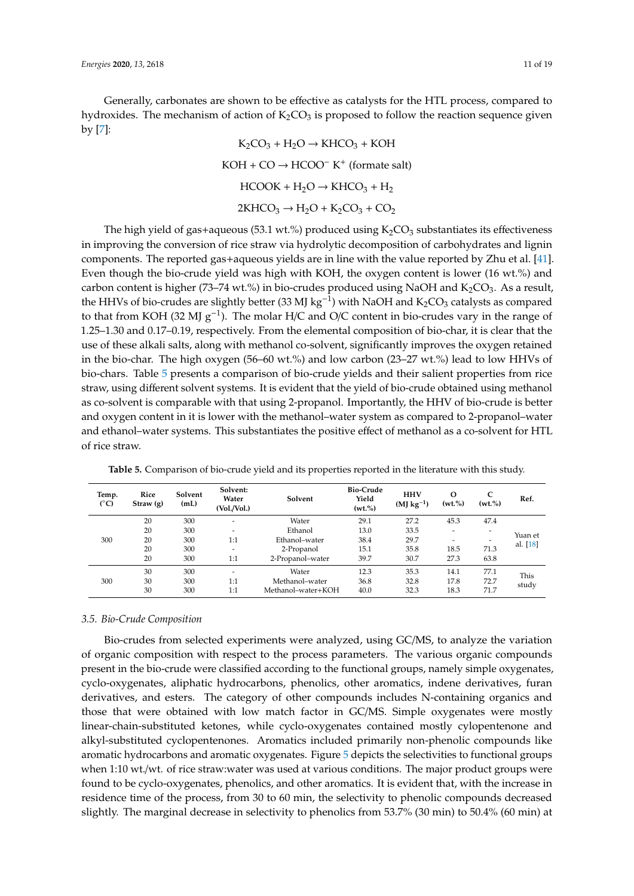Generally, carbonates are shown to be effective as catalysts for the HTL process, compared to hydroxides. The mechanism of action of  $K_2CO_3$  is proposed to follow the reaction sequence given by [7]:

$$
K_2CO_3 + H_2O \rightarrow KHCO_3 + KOH
$$
  
KOH + CO  $\rightarrow$  HCOO<sup>-</sup> K<sup>+</sup> (formate salt)  
HCOOK + H<sub>2</sub>O  $\rightarrow$  KHCO<sub>3</sub> + H<sub>2</sub>  
2KHCO<sub>3</sub>  $\rightarrow$  H<sub>2</sub>O + K<sub>2</sub>CO<sub>3</sub> + CO<sub>2</sub>

The high yield of gas+aqueous (53.1 wt.%) produced using  $K_2CO_3$  substantiates its effectiveness in improving the conversion of rice straw via hydrolytic decomposition of carbohydrates and lignin components. The reported gas+aqueous yields are in line with the value reported by Zhu et al. [41]. Even though the bio-crude yield was high with KOH, the oxygen content is lower (16 wt.%) and carbon content is higher (73–74 wt.%) in bio-crudes produced using NaOH and  $K_2CO_3$ . As a result, the HHVs of bio-crudes are slightly better (33 MJ kg<sup>-1</sup>) with NaOH and K<sub>2</sub>CO<sub>3</sub> catalysts as compared to that from KOH (32 MJ  $g^{-1}$ ). The molar H/C and O/C content in bio-crudes vary in the range of 1.25–1.30 and 0.17–0.19, respectively. From the elemental composition of bio-char, it is clear that the use of these alkali salts, along with methanol co-solvent, significantly improves the oxygen retained in the bio-char. The high oxygen (56–60 wt.%) and low carbon (23–27 wt.%) lead to low HHVs of bio-chars. Table 5 presents a comparison of bio-crude yields and their salient properties from rice straw, using different solvent systems. It is evident that the yield of bio-crude obtained using methanol as co-solvent is comparable with that using 2-propanol. Importantly, the HHV of bio-crude is better and oxygen content in it is lower with the methanol–water system as compared to 2-propanol–water and ethanol–water systems. This substantiates the positive effect of methanol as a co-solvent for HTL of rice straw.

| Temp.<br>$(^{\circ}C)$ | Rice<br>Straw(g) | Solvent<br>(mL) | Solvent:<br>Water<br>(Vol./Vol.) | Solvent            | Bio-Crude<br>Yield<br>(wt.%) | <b>HHV</b><br>$(MJ kg-1)$ | $\Omega$<br>(wt. % | C<br>(wt.%)              | Ref.     |
|------------------------|------------------|-----------------|----------------------------------|--------------------|------------------------------|---------------------------|--------------------|--------------------------|----------|
|                        | 20               | 300             |                                  | Water              | 29.1                         | 27.2                      | 45.3               | 47.4                     |          |
|                        | 20               | 300             | -                                | Ethanol            | 13.0                         | 33.5                      |                    |                          |          |
|                        |                  |                 |                                  |                    |                              |                           | ۰.                 | $\overline{\phantom{a}}$ | Yuan et  |
| 300                    | 20               | 300             | 1:1                              | Ethanol-water      | 38.4                         | 29.7                      |                    |                          | al. [18] |
|                        | 20               | 300             | -                                | 2-Propanol         | 15.1                         | 35.8                      | 18.5               | 71.3                     |          |
|                        | 20               | 300             | 1:1                              | 2-Propanol-water   | 39.7                         | 30.7                      | 27.3               | 63.8                     |          |
|                        | 30               | 300             |                                  | Water              | 12.3                         | 35.3                      | 14.1               | 77.1                     | This     |
| 300                    | 30               | 300             | 1:1                              | Methanol-water     | 36.8                         | 32.8                      | 17.8               | 72.7                     |          |
|                        | 30               | 300             | 1:1                              | Methanol-water+KOH | 40.0                         | 32.3                      | 18.3               | 71.7                     | study    |

**Table 5.** Comparison of bio-crude yield and its properties reported in the literature with this study.

#### *3.5. Bio-Crude Composition*

Bio-crudes from selected experiments were analyzed, using GC/MS, to analyze the variation of organic composition with respect to the process parameters. The various organic compounds present in the bio-crude were classified according to the functional groups, namely simple oxygenates, cyclo-oxygenates, aliphatic hydrocarbons, phenolics, other aromatics, indene derivatives, furan derivatives, and esters. The category of other compounds includes N-containing organics and those that were obtained with low match factor in GC/MS. Simple oxygenates were mostly linear-chain-substituted ketones, while cyclo-oxygenates contained mostly cylopentenone and alkyl-substituted cyclopentenones. Aromatics included primarily non-phenolic compounds like aromatic hydrocarbons and aromatic oxygenates. Figure 5 depicts the selectivities to functional groups when 1:10 wt./wt. of rice straw:water was used at various conditions. The major product groups were found to be cyclo-oxygenates, phenolics, and other aromatics. It is evident that, with the increase in residence time of the process, from 30 to 60 min, the selectivity to phenolic compounds decreased slightly. The marginal decrease in selectivity to phenolics from 53.7% (30 min) to 50.4% (60 min) at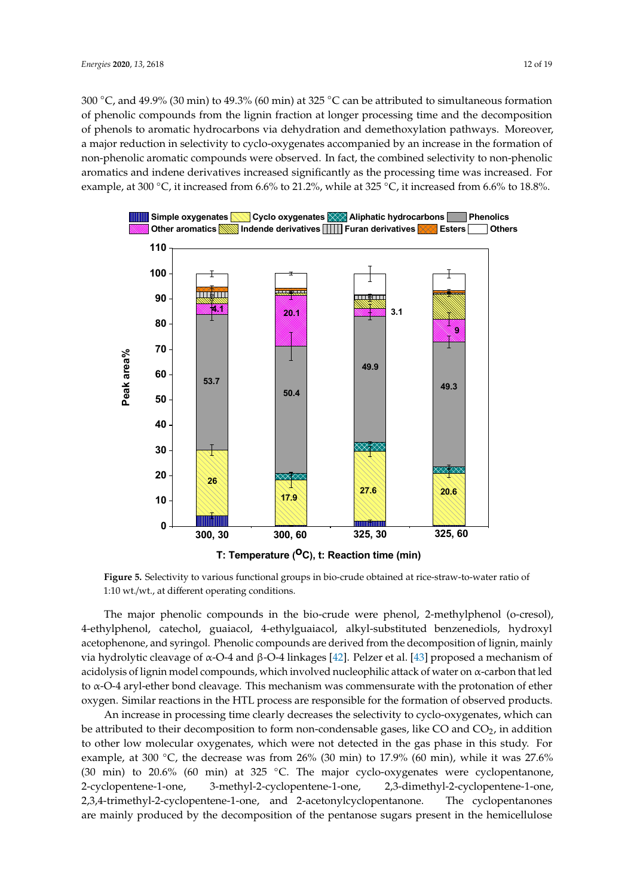300  $\degree$ C, and 49.9% (30 min) to 49.3% (60 min) at 325  $\degree$ C can be attributed to simultaneous formation of phenolic compounds from the lignin fraction at longer processing time and the decomposition of phenols to aromatic hydrocarbons via dehydration and demethoxylation pathways. Moreover, a major reduction in selectivity to cyclo-oxygenates accompanied by an increase in the formation of non-phenolic aromatic compounds were observed. In fact, the combined selectivity to non-phenolic aromatics and indene derivatives increased significantly as the processing time was increased. For example, at 300 °C, it increased from 6.6% to 21.2%, while at 325 °C, it increased from 6.6% to 18.8%.



**Figure 5.** Selectivity to various functional groups in bio-crude obtained at rice-straw-to-water ratio of 1:10 wt./wt., at different operating conditions.

The major phenolic compounds in the bio-crude were phenol, 2-methylphenol (o-cresol), 4-ethylphenol, catechol, guaiacol, 4-ethylguaiacol, alkyl-substituted benzenediols, hydroxyl acetophenone, and syringol. Phenolic compounds are derived from the decomposition of lignin, mainly via hydrolytic cleavage of  $\alpha$ -O-4 and β-O-4 linkages [42]. Pelzer et al. [43] proposed a mechanism of acidolysis of lignin model compounds, which involved nucleophilic attack of water on α-carbon that led to α-O-4 aryl-ether bond cleavage. This mechanism was commensurate with the protonation of ether oxygen. Similar reactions in the HTL process are responsible for the formation of observed products.

An increase in processing time clearly decreases the selectivity to cyclo-oxygenates, which can be attributed to their decomposition to form non-condensable gases, like CO and  $CO<sub>2</sub>$ , in addition to other low molecular oxygenates, which were not detected in the gas phase in this study. For example, at 300 °C, the decrease was from 26% (30 min) to 17.9% (60 min), while it was 27.6% (30 min) to 20.6% (60 min) at 325  $°C$ . The major cyclo-oxygenates were cyclopentanone, 2-cyclopentene-1-one, 3-methyl-2-cyclopentene-1-one, 2,3-dimethyl-2-cyclopentene-1-one, 2,3,4-trimethyl-2-cyclopentene-1-one, and 2-acetonylcyclopentanone. The cyclopentanones are mainly produced by the decomposition of the pentanose sugars present in the hemicellulose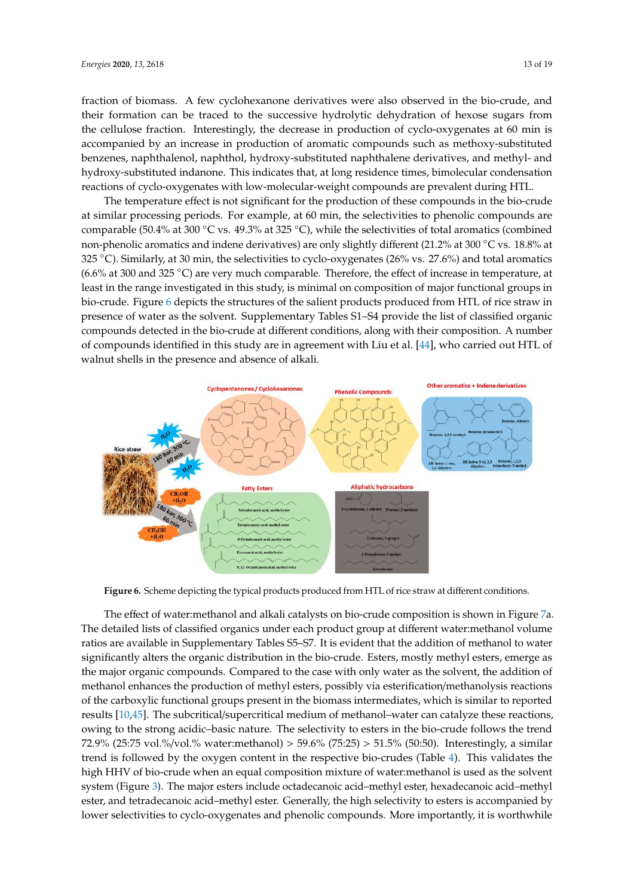fraction of biomass. A few cyclohexanone derivatives were also observed in the bio-crude, and their formation can be traced to the successive hydrolytic dehydration of hexose sugars from the cellulose fraction. Interestingly, the decrease in production of cyclo-oxygenates at 60 min is accompanied by an increase in production of aromatic compounds such as methoxy-substituted benzenes, naphthalenol, naphthol, hydroxy-substituted naphthalene derivatives, and methyl- and hydroxy-substituted indanone. This indicates that, at long residence times, bimolecular condensation reactions of cyclo-oxygenates with low-molecular-weight compounds are prevalent during HTL.

The temperature effect is not significant for the production of these compounds in the bio-crude at similar processing periods. For example, at 60 min, the selectivities to phenolic compounds are comparable (50.4% at 300 ◦C vs. 49.3% at 325 ◦C), while the selectivities of total aromatics (combined non-phenolic aromatics and indene derivatives) are only slightly different (21.2% at 300 ◦C vs. 18.8% at 325 ◦C). Similarly, at 30 min, the selectivities to cyclo-oxygenates (26% vs. 27.6%) and total aromatics (6.6% at 300 and 325 ◦C) are very much comparable. Therefore, the effect of increase in temperature, at least in the range investigated in this study, is minimal on composition of major functional groups in bio-crude. Figure 6 depicts the structures of the salient products produced from HTL of rice straw in presence of water as the solvent. Supplementary Tables S1–S4 provide the list of classified organic compounds detected in the bio-crude at different conditions, along with their composition. A number of compounds identified in this study are in agreement with Liu et al. [44], who carried out HTL of walnut shells in the presence and absence of alkali.



**Figure 6.** Scheme depicting the typical products produced from HTL of rice straw at different conditions.

The effect of water:methanol and alkali catalysts on bio-crude composition is shown in Figure 7a. The detailed lists of classified organics under each product group at different water:methanol volume ratios are available in Supplementary Tables S5–S7. It is evident that the addition of methanol to water significantly alters the organic distribution in the bio-crude. Esters, mostly methyl esters, emerge as the major organic compounds. Compared to the case with only water as the solvent, the addition of methanol enhances the production of methyl esters, possibly via esterification/methanolysis reactions of the carboxylic functional groups present in the biomass intermediates, which is similar to reported results [10,45]. The subcritical/supercritical medium of methanol–water can catalyze these reactions, owing to the strong acidic–basic nature. The selectivity to esters in the bio-crude follows the trend 72.9% (25:75 vol.%/vol.% water:methanol) > 59.6% (75:25) > 51.5% (50:50). Interestingly, a similar trend is followed by the oxygen content in the respective bio-crudes (Table 4). This validates the high HHV of bio-crude when an equal composition mixture of water:methanol is used as the solvent system (Figure 3). The major esters include octadecanoic acid–methyl ester, hexadecanoic acid–methyl ester, and tetradecanoic acid–methyl ester. Generally, the high selectivity to esters is accompanied by lower selectivities to cyclo-oxygenates and phenolic compounds. More importantly, it is worthwhile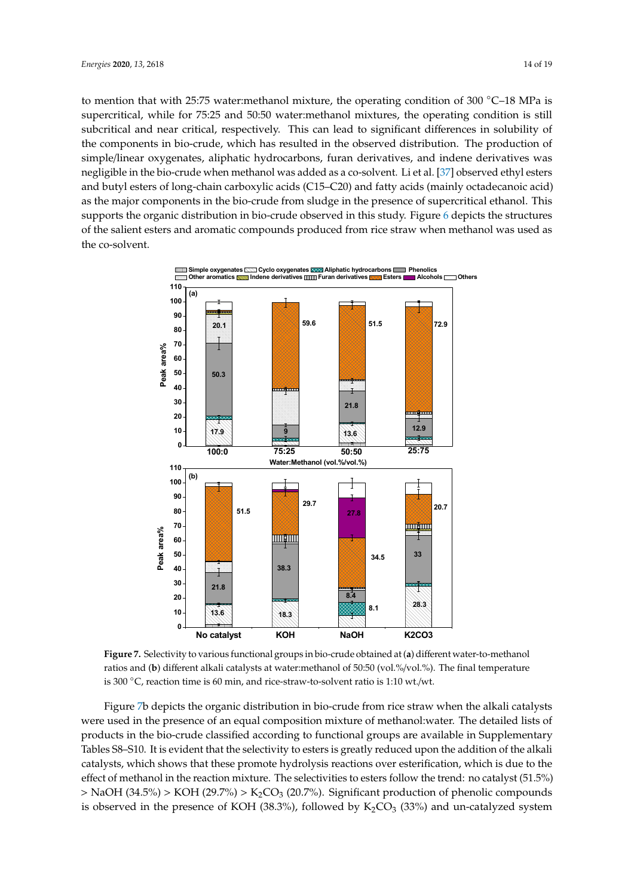to mention that with 25:75 water:methanol mixture, the operating condition of 300 °C−18 MPa is supercritical, while for 75:25 and 50:50 water:methanol mixtures, the operating condition is still subcritical and near critical, respectively. This can lead to significant differences in solubility of the components in bio-crude, which has resulted in the observed distribution. The production of simple/linear oxygenates, aliphatic hydrocarbons, furan derivatives, and indene derivatives was negligible in the bio-crude when methanol was added as a co-solvent. Li et al. [37] observed ethyl esters and butyl esters of long-chain carboxylic acids (C15–C20) and fatty acids (mainly octadecanoic acid) as the major components in the bio-crude from sludge in the presence of supercritical ethanol. This supports the organic distribution in bio-crude observed in this study. Figure 6 depicts the structures of the salient esters and aromatic compounds produced from rice straw when methanol was used as the co-solvent.



**Figure 7.** Selectivity to various functional groups in bio-crude obtained at (**a**) different water-to-methanol ratios and (**b**) different alkali catalysts at water:methanol of 50:50 (vol.%/vol.%). The final temperature is 300 ◦C, reaction time is 60 min, and rice-straw-to-solvent ratio is 1:10 wt./wt.

Figure 7b depicts the organic distribution in bio-crude from rice straw when the alkali catalysts were used in the presence of an equal composition mixture of methanol:water. The detailed lists of products in the bio-crude classified according to functional groups are available in Supplementary Tables S8–S10. It is evident that the selectivity to esters is greatly reduced upon the addition of the alkali catalysts, which shows that these promote hydrolysis reactions over esterification, which is due to the effect of methanol in the reaction mixture. The selectivities to esters follow the trend: no catalyst (51.5%)  $>$  NaOH (34.5%)  $>$  KOH (29.7%)  $>$  K<sub>2</sub>CO<sub>3</sub> (20.7%). Significant production of phenolic compounds is observed in the presence of KOH (38.3%), followed by  $K_2CO_3$  (33%) and un-catalyzed system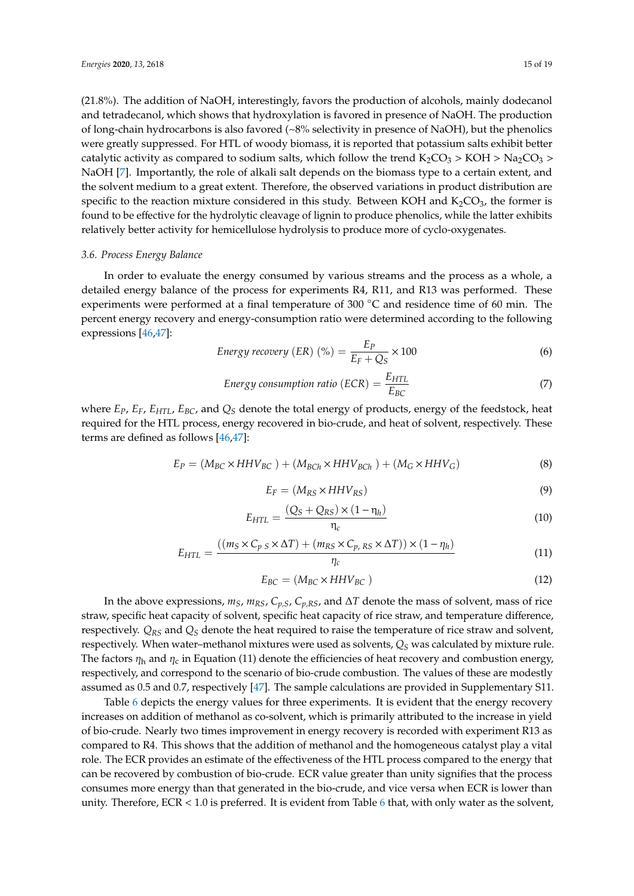(21.8%). The addition of NaOH, interestingly, favors the production of alcohols, mainly dodecanol and tetradecanol, which shows that hydroxylation is favored in presence of NaOH. The production of long-chain hydrocarbons is also favored (~8% selectivity in presence of NaOH), but the phenolics were greatly suppressed. For HTL of woody biomass, it is reported that potassium salts exhibit better catalytic activity as compared to sodium salts, which follow the trend  $K_2CO_3 > KOH > Na_2CO_3 >$ NaOH [7]. Importantly, the role of alkali salt depends on the biomass type to a certain extent, and the solvent medium to a great extent. Therefore, the observed variations in product distribution are specific to the reaction mixture considered in this study. Between KOH and  $K_2CO_3$ , the former is found to be effective for the hydrolytic cleavage of lignin to produce phenolics, while the latter exhibits relatively better activity for hemicellulose hydrolysis to produce more of cyclo-oxygenates.

## *3.6. Process Energy Balance*

In order to evaluate the energy consumed by various streams and the process as a whole, a detailed energy balance of the process for experiments R4, R11, and R13 was performed. These experiments were performed at a final temperature of 300 °C and residence time of 60 min. The percent energy recovery and energy-consumption ratio were determined according to the following expressions [46,47]:

Energy recovery (ER) (%) = 
$$
\frac{E_P}{E_F + Q_S} \times 100
$$
 (6)

Energy consumption ratio (ECR) = 
$$
\frac{E_{HTL}}{E_{BC}}
$$
 (7)

where *EP*, *EF*, *EHTL*, *EBC*, and *Q<sup>S</sup>* denote the total energy of products, energy of the feedstock, heat required for the HTL process, energy recovered in bio-crude, and heat of solvent, respectively. These terms are defined as follows [46,47]:

$$
E_P = (M_{BC} \times HHV_{BC}) + (M_{BCh} \times HHV_{BCh}) + (M_G \times HHV_G)
$$
\n(8)

$$
E_F = (M_{RS} \times HHV_{RS})
$$
\n(9)

$$
E_{HTL} = \frac{(Q_S + Q_{RS}) \times (1 - \eta_h)}{\eta_c} \tag{10}
$$

$$
E_{HTL} = \frac{((m_S \times C_p \times \Delta T) + (m_{RS} \times C_p \times \Delta T)) \times (1 - \eta_h)}{\eta_c}
$$
(11)

$$
E_{BC} = (M_{BC} \times HHV_{BC})
$$
\n(12)

In the above expressions,  $m_S$ ,  $m_{RS}$ ,  $C_{p,S}$ ,  $C_{p,RS}$ , and  $\Delta T$  denote the mass of solvent, mass of rice straw, specific heat capacity of solvent, specific heat capacity of rice straw, and temperature difference, respectively. *QRS* and *Q<sup>S</sup>* denote the heat required to raise the temperature of rice straw and solvent, respectively. When water–methanol mixtures were used as solvents, *Q<sup>S</sup>* was calculated by mixture rule. The factors  $\eta_h$  and  $\eta_c$  in Equation (11) denote the efficiencies of heat recovery and combustion energy, respectively, and correspond to the scenario of bio-crude combustion. The values of these are modestly assumed as 0.5 and 0.7, respectively [47]. The sample calculations are provided in Supplementary S11.

Table 6 depicts the energy values for three experiments. It is evident that the energy recovery increases on addition of methanol as co-solvent, which is primarily attributed to the increase in yield of bio-crude. Nearly two times improvement in energy recovery is recorded with experiment R13 as compared to R4. This shows that the addition of methanol and the homogeneous catalyst play a vital role. The ECR provides an estimate of the effectiveness of the HTL process compared to the energy that can be recovered by combustion of bio-crude. ECR value greater than unity signifies that the process consumes more energy than that generated in the bio-crude, and vice versa when ECR is lower than unity. Therefore,  $ECR < 1.0$  is preferred. It is evident from Table 6 that, with only water as the solvent,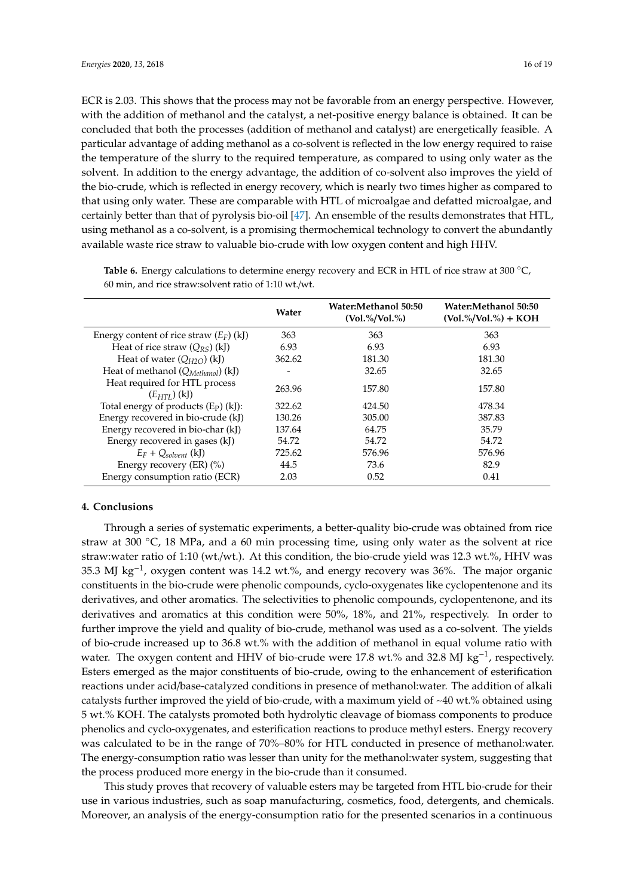ECR is 2.03. This shows that the process may not be favorable from an energy perspective. However, with the addition of methanol and the catalyst, a net-positive energy balance is obtained. It can be concluded that both the processes (addition of methanol and catalyst) are energetically feasible. A particular advantage of adding methanol as a co-solvent is reflected in the low energy required to raise the temperature of the slurry to the required temperature, as compared to using only water as the solvent. In addition to the energy advantage, the addition of co-solvent also improves the yield of the bio-crude, which is reflected in energy recovery, which is nearly two times higher as compared to that using only water. These are comparable with HTL of microalgae and defatted microalgae, and certainly better than that of pyrolysis bio-oil [47]. An ensemble of the results demonstrates that HTL, using methanol as a co-solvent, is a promising thermochemical technology to convert the abundantly available waste rice straw to valuable bio-crude with low oxygen content and high HHV.

|                                                   | Water  | Water:Methanol 50:50<br>$(V_01,\%/Vol.%)$ | Water:Methanol 50:50<br>$(V_0I$ .%/Vol.%) + KOH |
|---------------------------------------------------|--------|-------------------------------------------|-------------------------------------------------|
| Energy content of rice straw $(E_F)$ (kJ)         | 363    | 363                                       | 363                                             |
| Heat of rice straw $(Q_{RS})$ (kJ)                | 6.93   | 6.93                                      | 6.93                                            |
| Heat of water $(Q_{H2O})$ (kJ)                    | 362.62 | 181.30                                    | 181.30                                          |
| Heat of methanol $(Q_{Method})$ (kJ)              |        | 32.65                                     | 32.65                                           |
| Heat required for HTL process<br>$(E_{HTI})$ (kJ) | 263.96 | 157.80                                    | 157.80                                          |
| Total energy of products $(E_P)$ (kJ):            | 322.62 | 424.50                                    | 478.34                                          |
| Energy recovered in bio-crude (kJ)                | 130.26 | 305.00                                    | 387.83                                          |
| Energy recovered in bio-char (kJ)                 | 137.64 | 64.75                                     | 35.79                                           |
| Energy recovered in gases (kJ)                    | 54.72  | 54.72                                     | 54.72                                           |
| $E_F + Q_{solnent}$ (kJ)                          | 725.62 | 576.96                                    | 576.96                                          |
| Energy recovery (ER) (%)                          | 44.5   | 73.6                                      | 82.9                                            |
| Energy consumption ratio (ECR)                    | 2.03   | 0.52                                      | 0.41                                            |

**Table 6.** Energy calculations to determine energy recovery and ECR in HTL of rice straw at 300 ◦C, 60 min, and rice straw:solvent ratio of 1:10 wt./wt.

## **4. Conclusions**

Through a series of systematic experiments, a better-quality bio-crude was obtained from rice straw at 300  $°C$ , 18 MPa, and a 60 min processing time, using only water as the solvent at rice straw:water ratio of 1:10 (wt./wt.). At this condition, the bio-crude yield was 12.3 wt.%, HHV was 35.3 MJ kg−<sup>1</sup> , oxygen content was 14.2 wt.%, and energy recovery was 36%. The major organic constituents in the bio-crude were phenolic compounds, cyclo-oxygenates like cyclopentenone and its derivatives, and other aromatics. The selectivities to phenolic compounds, cyclopentenone, and its derivatives and aromatics at this condition were 50%, 18%, and 21%, respectively. In order to further improve the yield and quality of bio-crude, methanol was used as a co-solvent. The yields of bio-crude increased up to 36.8 wt.% with the addition of methanol in equal volume ratio with water. The oxygen content and HHV of bio-crude were 17.8 wt.% and 32.8 MJ kg<sup>-1</sup>, respectively. Esters emerged as the major constituents of bio-crude, owing to the enhancement of esterification reactions under acid/base-catalyzed conditions in presence of methanol:water. The addition of alkali catalysts further improved the yield of bio-crude, with a maximum yield of  $\sim$ 40 wt.% obtained using 5 wt.% KOH. The catalysts promoted both hydrolytic cleavage of biomass components to produce phenolics and cyclo-oxygenates, and esterification reactions to produce methyl esters. Energy recovery was calculated to be in the range of 70%–80% for HTL conducted in presence of methanol:water. The energy-consumption ratio was lesser than unity for the methanol:water system, suggesting that the process produced more energy in the bio-crude than it consumed.

This study proves that recovery of valuable esters may be targeted from HTL bio-crude for their use in various industries, such as soap manufacturing, cosmetics, food, detergents, and chemicals. Moreover, an analysis of the energy-consumption ratio for the presented scenarios in a continuous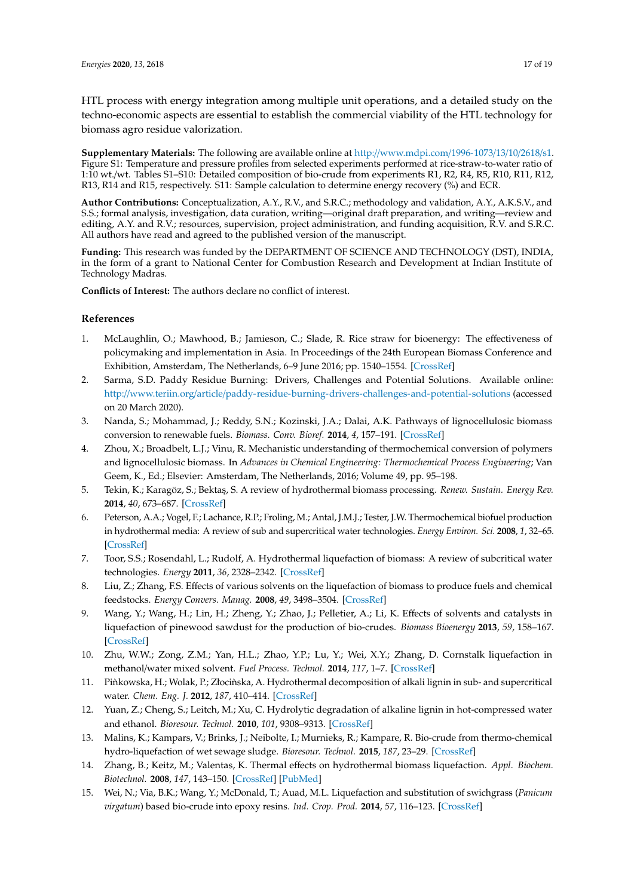HTL process with energy integration among multiple unit operations, and a detailed study on the techno-economic aspects are essential to establish the commercial viability of the HTL technology for biomass agro residue valorization.

**Supplementary Materials:** The following are available online at http://www.mdpi.com/1996-1073/13/10/2618/s1. Figure S1: Temperature and pressure profiles from selected experiments performed at rice-straw-to-water ratio of 1:10 wt./wt. Tables S1–S10: Detailed composition of bio-crude from experiments R1, R2, R4, R5, R10, R11, R12, R13, R14 and R15, respectively. S11: Sample calculation to determine energy recovery (%) and ECR.

**Author Contributions:** Conceptualization, A.Y., R.V., and S.R.C.; methodology and validation, A.Y., A.K.S.V., and S.S.; formal analysis, investigation, data curation, writing—original draft preparation, and writing—review and editing, A.Y. and R.V.; resources, supervision, project administration, and funding acquisition, R.V. and S.R.C. All authors have read and agreed to the published version of the manuscript.

**Funding:** This research was funded by the DEPARTMENT OF SCIENCE AND TECHNOLOGY (DST), INDIA, in the form of a grant to National Center for Combustion Research and Development at Indian Institute of Technology Madras.

**Conflicts of Interest:** The authors declare no conflict of interest.

## **References**

- 1. McLaughlin, O.; Mawhood, B.; Jamieson, C.; Slade, R. Rice straw for bioenergy: The effectiveness of policymaking and implementation in Asia. In Proceedings of the 24th European Biomass Conference and Exhibition, Amsterdam, The Netherlands, 6–9 June 2016; pp. 1540–1554. [CrossRef]
- 2. Sarma, S.D. Paddy Residue Burning: Drivers, Challenges and Potential Solutions. Available online: http://www.teriin.org/article/paddy-residue-burning-drivers-challenges-and-potential-solutions (accessed on 20 March 2020).
- 3. Nanda, S.; Mohammad, J.; Reddy, S.N.; Kozinski, J.A.; Dalai, A.K. Pathways of lignocellulosic biomass conversion to renewable fuels. *Biomass. Conv. Bioref.* **2014**, *4*, 157–191. [CrossRef]
- 4. Zhou, X.; Broadbelt, L.J.; Vinu, R. Mechanistic understanding of thermochemical conversion of polymers and lignocellulosic biomass. In *Advances in Chemical Engineering: Thermochemical Process Engineering*; Van Geem, K., Ed.; Elsevier: Amsterdam, The Netherlands, 2016; Volume 49, pp. 95–198.
- 5. Tekin, K.; Karagöz, S.; Bekta¸s, S. A review of hydrothermal biomass processing. *Renew. Sustain. Energy Rev.* **2014**, *40*, 673–687. [CrossRef]
- 6. Peterson, A.A.; Vogel, F.; Lachance, R.P.; Froling, M.; Antal, J.M.J.; Tester, J.W. Thermochemical biofuel production in hydrothermal media: A review of sub and supercritical water technologies. *Energy Environ. Sci.* **2008**, *1*, 32–65. [CrossRef]
- 7. Toor, S.S.; Rosendahl, L.; Rudolf, A. Hydrothermal liquefaction of biomass: A review of subcritical water technologies. *Energy* **2011**, *36*, 2328–2342. [CrossRef]
- 8. Liu, Z.; Zhang, F.S. Effects of various solvents on the liquefaction of biomass to produce fuels and chemical feedstocks. *Energy Convers. Manag.* **2008**, *49*, 3498–3504. [CrossRef]
- 9. Wang, Y.; Wang, H.; Lin, H.; Zheng, Y.; Zhao, J.; Pelletier, A.; Li, K. Effects of solvents and catalysts in liquefaction of pinewood sawdust for the production of bio-crudes. *Biomass Bioenergy* **2013**, *59*, 158–167. [CrossRef]
- 10. Zhu, W.W.; Zong, Z.M.; Yan, H.L.; Zhao, Y.P.; Lu, Y.; Wei, X.Y.; Zhang, D. Cornstalk liquefaction in methanol/water mixed solvent. *Fuel Process. Technol.* **2014**, *117*, 1–7. [CrossRef]
- 11. Pinkowska, H.; Wolak, P.; Złocinska, A. Hydrothermal decomposition of alkali lignin in sub- and supercritical water. *Chem. Eng. J.* **2012**, *187*, 410–414. [CrossRef]
- 12. Yuan, Z.; Cheng, S.; Leitch, M.; Xu, C. Hydrolytic degradation of alkaline lignin in hot-compressed water and ethanol. *Bioresour. Technol.* **2010**, *101*, 9308–9313. [CrossRef]
- 13. Malins, K.; Kampars, V.; Brinks, J.; Neibolte, I.; Murnieks, R.; Kampare, R. Bio-crude from thermo-chemical hydro-liquefaction of wet sewage sludge. *Bioresour. Technol.* **2015**, *187*, 23–29. [CrossRef]
- 14. Zhang, B.; Keitz, M.; Valentas, K. Thermal effects on hydrothermal biomass liquefaction. *Appl. Biochem. Biotechnol.* **2008**, *147*, 143–150. [CrossRef] [PubMed]
- 15. Wei, N.; Via, B.K.; Wang, Y.; McDonald, T.; Auad, M.L. Liquefaction and substitution of swichgrass (*Panicum virgatum*) based bio-crude into epoxy resins. *Ind. Crop. Prod.* **2014**, *57*, 116–123. [CrossRef]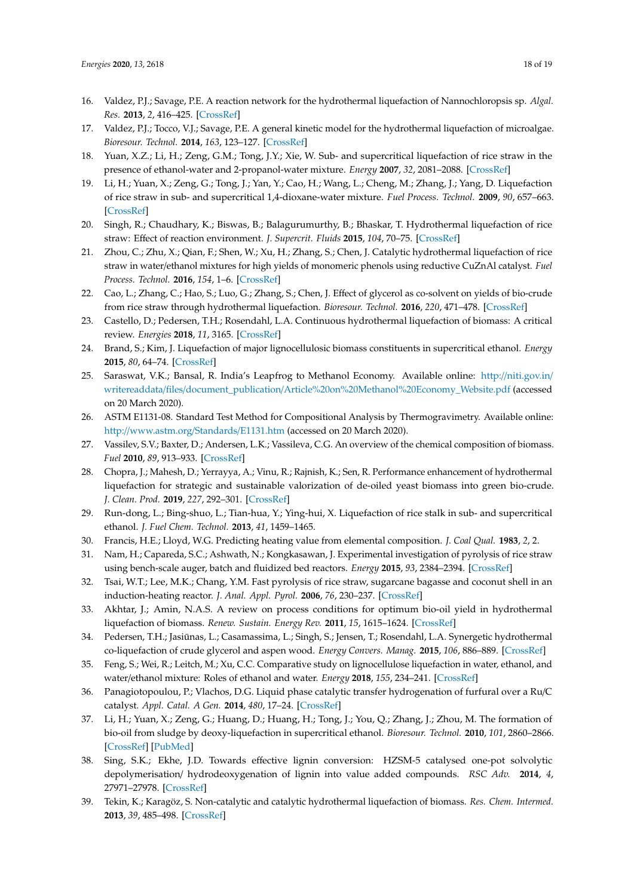- 16. Valdez, P.J.; Savage, P.E. A reaction network for the hydrothermal liquefaction of Nannochloropsis sp. *Algal. Res.* **2013**, *2*, 416–425. [CrossRef]
- 17. Valdez, P.J.; Tocco, V.J.; Savage, P.E. A general kinetic model for the hydrothermal liquefaction of microalgae. *Bioresour. Technol.* **2014**, *163*, 123–127. [CrossRef]
- 18. Yuan, X.Z.; Li, H.; Zeng, G.M.; Tong, J.Y.; Xie, W. Sub- and supercritical liquefaction of rice straw in the presence of ethanol-water and 2-propanol-water mixture. *Energy* **2007**, *32*, 2081–2088. [CrossRef]
- 19. Li, H.; Yuan, X.; Zeng, G.; Tong, J.; Yan, Y.; Cao, H.; Wang, L.; Cheng, M.; Zhang, J.; Yang, D. Liquefaction of rice straw in sub- and supercritical 1,4-dioxane-water mixture. *Fuel Process. Technol.* **2009**, *90*, 657–663. [CrossRef]
- 20. Singh, R.; Chaudhary, K.; Biswas, B.; Balagurumurthy, B.; Bhaskar, T. Hydrothermal liquefaction of rice straw: Effect of reaction environment. *J. Supercrit. Fluids* **2015**, *104*, 70–75. [CrossRef]
- 21. Zhou, C.; Zhu, X.; Qian, F.; Shen, W.; Xu, H.; Zhang, S.; Chen, J. Catalytic hydrothermal liquefaction of rice straw in water/ethanol mixtures for high yields of monomeric phenols using reductive CuZnAl catalyst. *Fuel Process. Technol.* **2016**, *154*, 1–6. [CrossRef]
- 22. Cao, L.; Zhang, C.; Hao, S.; Luo, G.; Zhang, S.; Chen, J. Effect of glycerol as co-solvent on yields of bio-crude from rice straw through hydrothermal liquefaction. *Bioresour. Technol.* **2016**, *220*, 471–478. [CrossRef]
- 23. Castello, D.; Pedersen, T.H.; Rosendahl, L.A. Continuous hydrothermal liquefaction of biomass: A critical review. *Energies* **2018**, *11*, 3165. [CrossRef]
- 24. Brand, S.; Kim, J. Liquefaction of major lignocellulosic biomass constituents in supercritical ethanol. *Energy* **2015**, *80*, 64–74. [CrossRef]
- 25. Saraswat, V.K.; Bansal, R. India's Leapfrog to Methanol Economy. Available online: http://niti.gov.in/ writereaddata/files/document\_publication/Article%20on%20Methanol%20Economy\_Website.pdf (accessed on 20 March 2020).
- 26. ASTM E1131-08. Standard Test Method for Compositional Analysis by Thermogravimetry. Available online: http://www.astm.org/Standards/E1131.htm (accessed on 20 March 2020).
- 27. Vassilev, S.V.; Baxter, D.; Andersen, L.K.; Vassileva, C.G. An overview of the chemical composition of biomass. *Fuel* **2010**, *89*, 913–933. [CrossRef]
- 28. Chopra, J.; Mahesh, D.; Yerrayya, A.; Vinu, R.; Rajnish, K.; Sen, R. Performance enhancement of hydrothermal liquefaction for strategic and sustainable valorization of de-oiled yeast biomass into green bio-crude. *J. Clean. Prod.* **2019**, *227*, 292–301. [CrossRef]
- 29. Run-dong, L.; Bing-shuo, L.; Tian-hua, Y.; Ying-hui, X. Liquefaction of rice stalk in sub- and supercritical ethanol. *J. Fuel Chem. Technol.* **2013**, *41*, 1459–1465.
- 30. Francis, H.E.; Lloyd, W.G. Predicting heating value from elemental composition. *J. Coal Qual.* **1983**, *2*, 2.
- 31. Nam, H.; Capareda, S.C.; Ashwath, N.; Kongkasawan, J. Experimental investigation of pyrolysis of rice straw using bench-scale auger, batch and fluidized bed reactors. *Energy* **2015**, *93*, 2384–2394. [CrossRef]
- 32. Tsai, W.T.; Lee, M.K.; Chang, Y.M. Fast pyrolysis of rice straw, sugarcane bagasse and coconut shell in an induction-heating reactor. *J. Anal. Appl. Pyrol.* **2006**, *76*, 230–237. [CrossRef]
- 33. Akhtar, J.; Amin, N.A.S. A review on process conditions for optimum bio-oil yield in hydrothermal liquefaction of biomass. *Renew. Sustain. Energy Rev.* **2011**, *15*, 1615–1624. [CrossRef]
- 34. Pedersen, T.H.; Jasiunas, L.; Casamassima, L.; Singh, S.; Jensen, T.; Rosendahl, L.A. Synergetic hydrothermal ¯ co-liquefaction of crude glycerol and aspen wood. *Energy Convers. Manag.* **2015**, *106*, 886–889. [CrossRef]
- 35. Feng, S.; Wei, R.; Leitch, M.; Xu, C.C. Comparative study on lignocellulose liquefaction in water, ethanol, and water/ethanol mixture: Roles of ethanol and water. *Energy* **2018**, *155*, 234–241. [CrossRef]
- 36. Panagiotopoulou, P.; Vlachos, D.G. Liquid phase catalytic transfer hydrogenation of furfural over a Ru/C catalyst. *Appl. Catal. A Gen.* **2014**, *480*, 17–24. [CrossRef]
- 37. Li, H.; Yuan, X.; Zeng, G.; Huang, D.; Huang, H.; Tong, J.; You, Q.; Zhang, J.; Zhou, M. The formation of bio-oil from sludge by deoxy-liquefaction in supercritical ethanol. *Bioresour. Technol.* **2010**, *101*, 2860–2866. [CrossRef] [PubMed]
- 38. Sing, S.K.; Ekhe, J.D. Towards effective lignin conversion: HZSM-5 catalysed one-pot solvolytic depolymerisation/ hydrodeoxygenation of lignin into value added compounds. *RSC Adv.* **2014**, *4*, 27971–27978. [CrossRef]
- 39. Tekin, K.; Karagöz, S. Non-catalytic and catalytic hydrothermal liquefaction of biomass. *Res. Chem. Intermed.* **2013**, *39*, 485–498. [CrossRef]